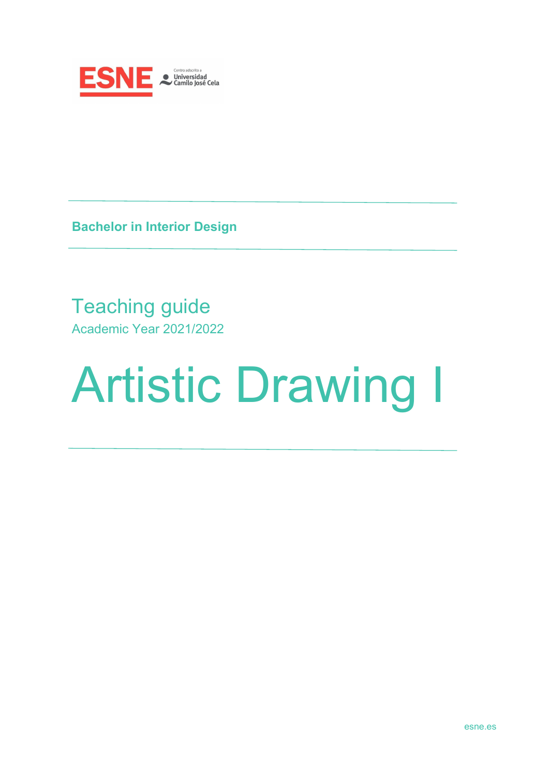

**Bachelor in Interior Design**

# Teaching guide Academic Year 2021/2022

# Artistic Drawing I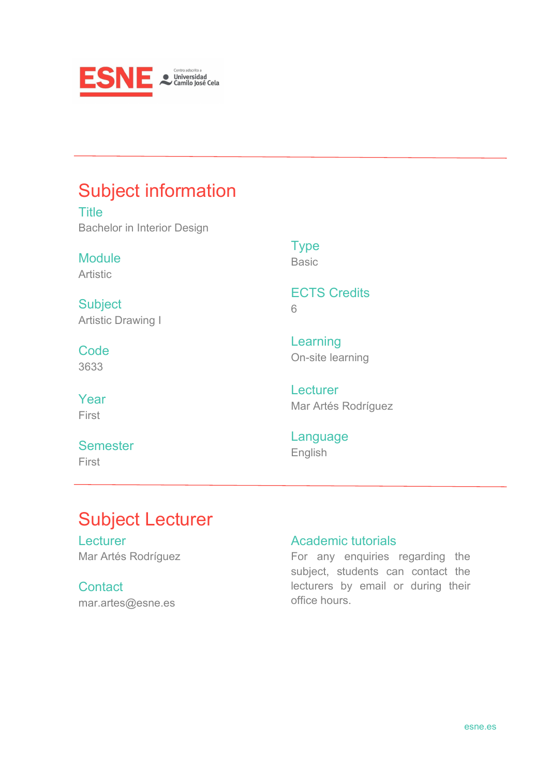

# Subject information

**Title** Bachelor in Interior Design

Module Artistic

**Subject** Artistic Drawing I

**Code** 3633

Year First

## **Semester** First

Type Basic

ECTS Credits 6

Learning On-site learning

**Lecturer** Mar Artés Rodríguez

Language English

# Subject Lecturer

**Lecturer** Mar Artés Rodríguez

**Contact** mar.artes@esne.es

## Academic tutorials

For any enquiries regarding the subject, students can contact the lecturers by email or during their office hours.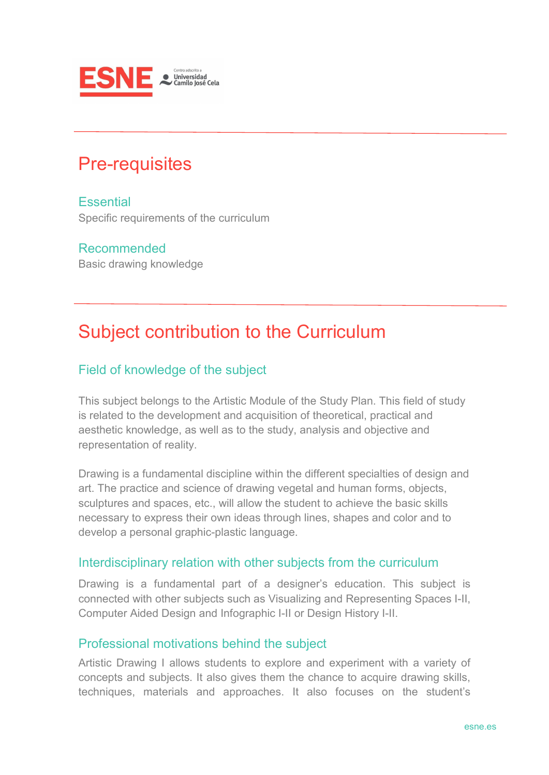

# Pre-requisites

**Essential** Specific requirements of the curriculum

## Recommended

Basic drawing knowledge

# Subject contribution to the Curriculum

## Field of knowledge of the subject

This subject belongs to the Artistic Module of the Study Plan. This field of study is related to the development and acquisition of theoretical, practical and aesthetic knowledge, as well as to the study, analysis and objective and representation of reality.

Drawing is a fundamental discipline within the different specialties of design and art. The practice and science of drawing vegetal and human forms, objects, sculptures and spaces, etc., will allow the student to achieve the basic skills necessary to express their own ideas through lines, shapes and color and to develop a personal graphic-plastic language.

#### Interdisciplinary relation with other subjects from the curriculum

Drawing is a fundamental part of a designer's education. This subject is connected with other subjects such as Visualizing and Representing Spaces I-II, Computer Aided Design and Infographic I-II or Design History I-II.

#### Professional motivations behind the subject

Artistic Drawing I allows students to explore and experiment with a variety of concepts and subjects. It also gives them the chance to acquire drawing skills, techniques, materials and approaches. It also focuses on the student's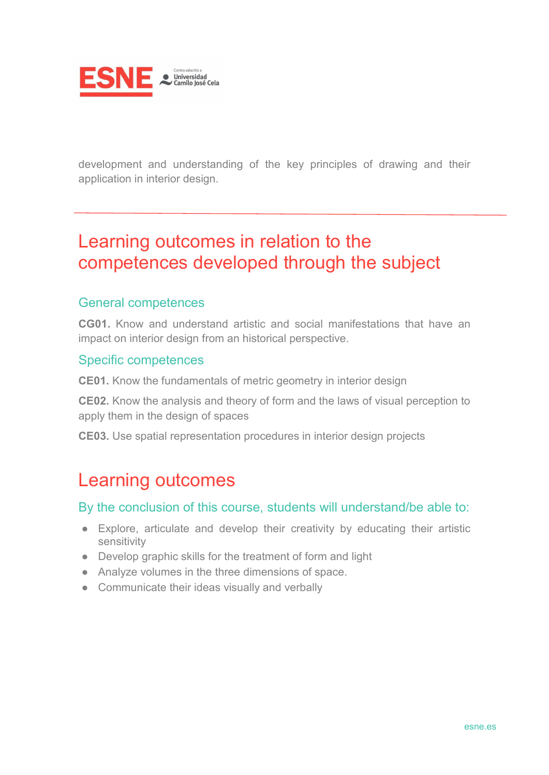

development and understanding of the key principles of drawing and their application in interior design.

## Learning outcomes in relation to the competences developed through the subject

## General competences

**CG01.** Know and understand artistic and social manifestations that have an impact on interior design from an historical perspective.

#### Specific competences

**CE01.** Know the fundamentals of metric geometry in interior design

**CE02.** Know the analysis and theory of form and the laws of visual perception to apply them in the design of spaces

**CE03.** Use spatial representation procedures in interior design projects

## Learning outcomes

#### By the conclusion of this course, students will understand/be able to:

- Explore, articulate and develop their creativity by educating their artistic sensitivity
- Develop graphic skills for the treatment of form and light
- Analyze volumes in the three dimensions of space.
- Communicate their ideas visually and verbally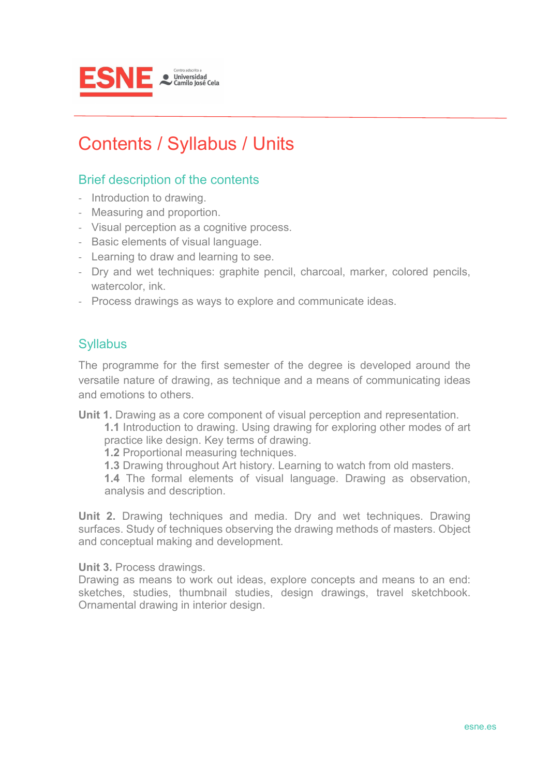

# Contents / Syllabus / Units

## Brief description of the contents

- Introduction to drawing.
- Measuring and proportion.
- Visual perception as a cognitive process.
- Basic elements of visual language.
- Learning to draw and learning to see.
- Dry and wet techniques: graphite pencil, charcoal, marker, colored pencils, watercolor, ink.
- Process drawings as ways to explore and communicate ideas.

## **Syllabus**

The programme for the first semester of the degree is developed around the versatile nature of drawing, as technique and a means of communicating ideas and emotions to others.

**Unit 1.** Drawing as a core component of visual perception and representation.

**1.1** Introduction to drawing. Using drawing for exploring other modes of art practice like design. Key terms of drawing.

**1.2** Proportional measuring techniques.

**1.3** Drawing throughout Art history. Learning to watch from old masters.

**1.4** The formal elements of visual language. Drawing as observation, analysis and description.

**Unit 2.** Drawing techniques and media. Dry and wet techniques. Drawing surfaces. Study of techniques observing the drawing methods of masters. Object and conceptual making and development.

**Unit 3.** Process drawings.

Drawing as means to work out ideas, explore concepts and means to an end: sketches, studies, thumbnail studies, design drawings, travel sketchbook. Ornamental drawing in interior design.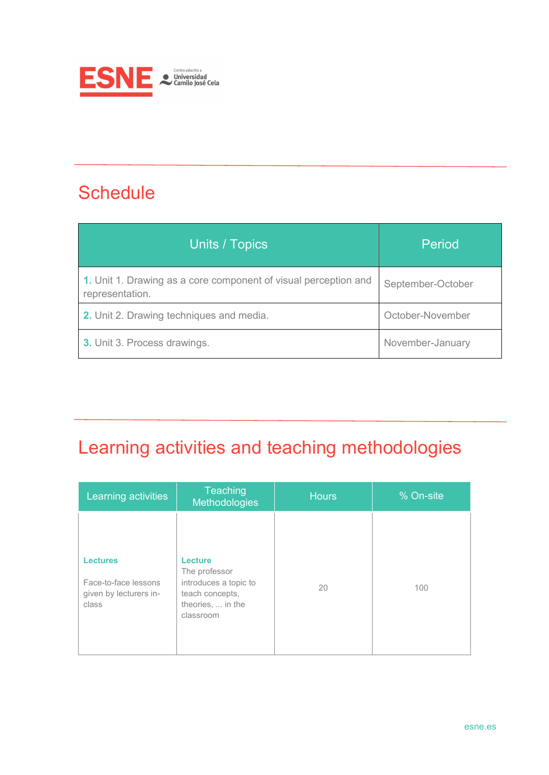

# **Schedule**

| Units / Topics                                                                     | Period            |
|------------------------------------------------------------------------------------|-------------------|
| 1. Unit 1. Drawing as a core component of visual perception and<br>representation. | September-October |
| 2. Unit 2. Drawing techniques and media.                                           | October-November  |
| 3. Unit 3. Process drawings.                                                       | November-January  |

# Learning activities and teaching methodologies

| Learning activities                                                        | Teaching<br><b>Methodologies</b>                                                                       | <b>Hours</b> | % On-site |
|----------------------------------------------------------------------------|--------------------------------------------------------------------------------------------------------|--------------|-----------|
| <b>Lectures</b><br>Face-to-face lessons<br>given by lecturers in-<br>class | Lecture<br>The professor<br>introduces a topic to<br>teach concepts,<br>theories,  in the<br>classroom | 20           | 100       |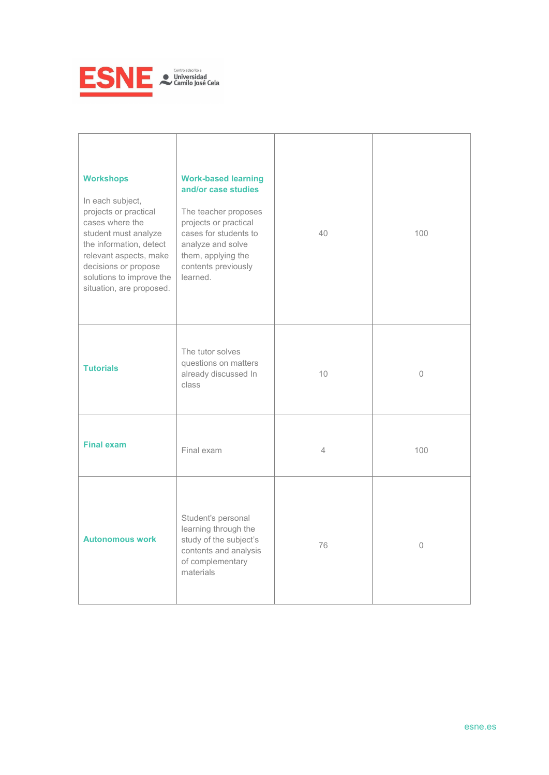

| <b>Workshops</b><br>In each subject,<br>projects or practical<br>cases where the<br>student must analyze<br>the information, detect<br>relevant aspects, make<br>decisions or propose<br>solutions to improve the<br>situation, are proposed. | <b>Work-based learning</b><br>and/or case studies<br>The teacher proposes<br>projects or practical<br>cases for students to<br>analyze and solve<br>them, applying the<br>contents previously<br>learned. | 40 | 100     |
|-----------------------------------------------------------------------------------------------------------------------------------------------------------------------------------------------------------------------------------------------|-----------------------------------------------------------------------------------------------------------------------------------------------------------------------------------------------------------|----|---------|
| <b>Tutorials</b>                                                                                                                                                                                                                              | The tutor solves<br>questions on matters<br>already discussed In<br>class                                                                                                                                 | 10 | 0       |
| <b>Final exam</b>                                                                                                                                                                                                                             | Final exam                                                                                                                                                                                                | 4  | 100     |
| <b>Autonomous work</b>                                                                                                                                                                                                                        | Student's personal<br>learning through the<br>study of the subject's<br>contents and analysis<br>of complementary<br>materials                                                                            | 76 | $\circ$ |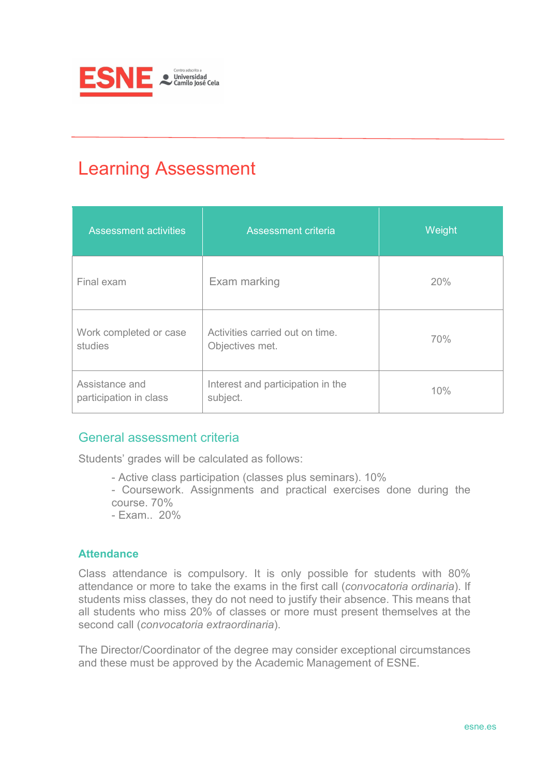

# Learning Assessment

| <b>Assessment activities</b>             | <b>Assessment criteria</b>                         | Weight |
|------------------------------------------|----------------------------------------------------|--------|
| Final exam                               | Exam marking                                       | 20%    |
| Work completed or case<br>studies        | Activities carried out on time.<br>Objectives met. | 70%    |
| Assistance and<br>participation in class | Interest and participation in the<br>subject.      | 10%    |

## General assessment criteria

Students' grades will be calculated as follows:

- Active class participation (classes plus seminars). 10%
- Coursework. Assignments and practical exercises done during the course. 70%
- Exam.. 20%

#### **Attendance**

Class attendance is compulsory. It is only possible for students with 80% attendance or more to take the exams in the first call (*convocatoria ordinaria*). If students miss classes, they do not need to justify their absence. This means that all students who miss 20% of classes or more must present themselves at the second call (*convocatoria extraordinaria*).

The Director/Coordinator of the degree may consider exceptional circumstances and these must be approved by the Academic Management of ESNE.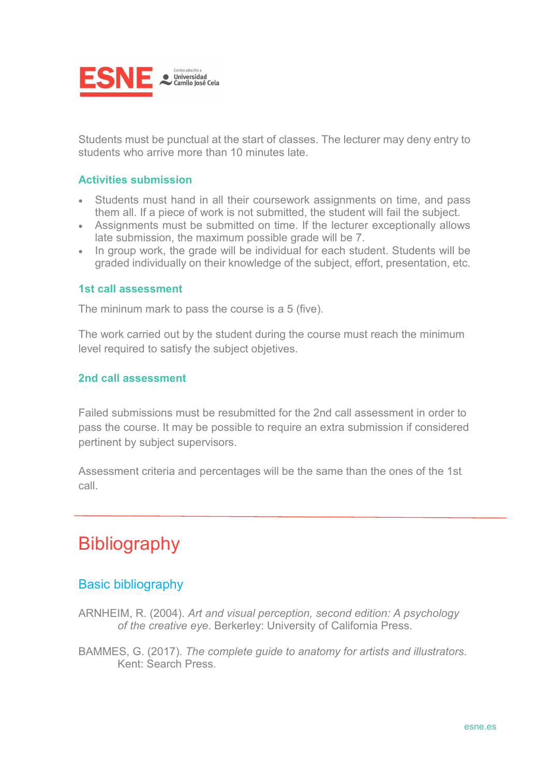

Students must be punctual at the start of classes. The lecturer may deny entry to students who arrive more than 10 minutes late.

#### **Activities submission**

- Students must hand in all their coursework assignments on time, and pass them all. If a piece of work is not submitted, the student will fail the subject.
- Assignments must be submitted on time. If the lecturer exceptionally allows late submission, the maximum possible grade will be 7.
- In group work, the grade will be individual for each student. Students will be graded individually on their knowledge of the subject, effort, presentation, etc.

#### **1st call assessment**

The mininum mark to pass the course is a 5 (five).

The work carried out by the student during the course must reach the minimum level required to satisfy the subject objetives.

#### **2nd call assessment**

Failed submissions must be resubmitted for the 2nd call assessment in order to pass the course. It may be possible to require an extra submission if considered pertinent by subject supervisors.

Assessment criteria and percentages will be the same than the ones of the 1st call.

# **Bibliography**

## Basic bibliography

- ARNHEIM, R. (2004). *Art and visual perception, second edition: A psychology of the creative eye*. Berkerley: University of California Press.
- BAMMES, G. (2017). *The complete guide to anatomy for artists and illustrators.*  Kent: Search Press.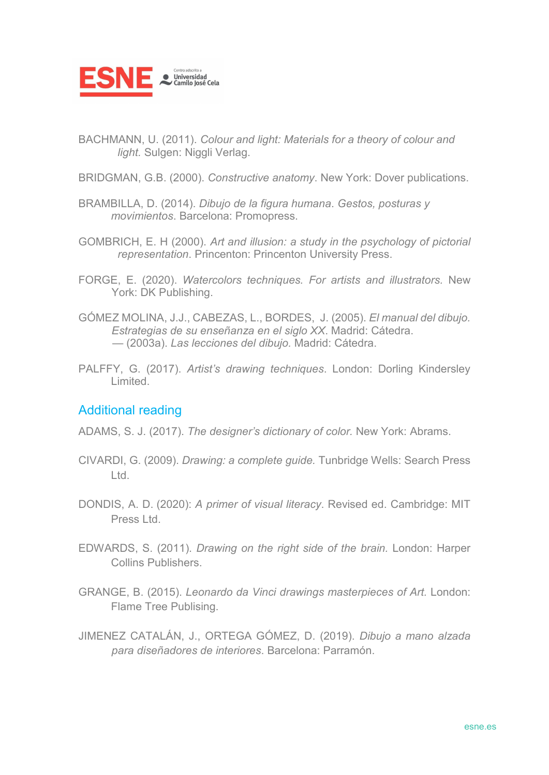

- BACHMANN, U. (2011). *Colour and light: Materials for a theory of colour and light.* Sulgen: Niggli Verlag.
- BRIDGMAN, G.B. (2000). *Constructive anatomy*. New York: Dover publications.
- BRAMBILLA, D. (2014). *Dibujo de la figura humana*. *Gestos, posturas y movimientos*. Barcelona: Promopress.
- GOMBRICH, E. H (2000). *Art and illusion: a study in the psychology of pictorial representation*. Princenton: Princenton University Press.
- FORGE, E. (2020). *Watercolors techniques. For artists and illustrators.* New York: DK Publishing.
- GÓMEZ MOLINA, J.J., CABEZAS, L., BORDES, J. (2005). *El manual del dibujo. Estrategias de su enseñanza en el siglo XX*. Madrid: Cátedra. — (2003a). *Las lecciones del dibujo.* Madrid: Cátedra.
- PALFFY, G. (2017). *Artist's drawing techniques*. London: Dorling Kindersley Limited.

## Additional reading

ADAMS, S. J. (2017). *The designer's dictionary of color.* New York: Abrams.

- CIVARDI, G. (2009). *Drawing: a complete guide.* Tunbridge Wells: Search Press Ltd.
- DONDIS, A. D. (2020): *A primer of visual literacy*. Revised ed. Cambridge: MIT Press Ltd.
- EDWARDS, S. (2011). *Drawing on the right side of the brain.* London: Harper Collins Publishers.
- GRANGE, B. (2015). *Leonardo da Vinci drawings masterpieces of Art.* London: Flame Tree Publising.
- JIMENEZ CATALÁN, J., ORTEGA GÓMEZ, D. (2019). *Dibujo a mano alzada para diseñadores de interiores*. Barcelona: Parramón.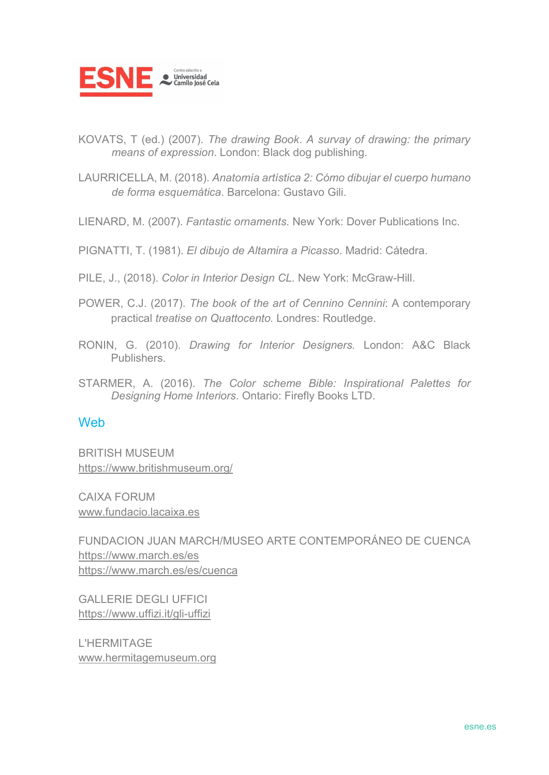

KOVATS, T (ed.) (2007). *The drawing Book*. *A survay of drawing: the primary means of expression*. London: Black dog publishing.

LAURRICELLA, M. (2018). *Anatomía artística 2: Cómo dibujar el cuerpo humano de forma esquemática*. Barcelona: Gustavo Gili.

LIENARD, M. (2007). *Fantastic ornaments.* New York: Dover Publications Inc.

PIGNATTI, T. (1981). *El dibujo de Altamira a Picasso*. Madrid: Cátedra.

PILE, J., (2018). *Color in Interior Design CL.* New York: McGraw-Hill.

POWER, C.J. (2017). *The book of the art of Cennino Cennini*: A contemporary practical *treatise on Quattocento.* Londres: Routledge.

RONIN, G. (2010). *Drawing for Interior Designers.* London: A&C Black Publishers.

STARMER, A. (2016). *The Color scheme Bible: Inspirational Palettes for Designing Home Interiors*. Ontario: Firefly Books LTD.

#### **Web**

BRITISH MUSEUM <https://www.britishmuseum.org/>

CAIXA FORUM [www.fundacio.lacaixa.es](http://www.fundacio.lacaixa.es/)

FUNDACION JUAN MARCH/MUSEO ARTE CONTEMPORÁNEO DE CUENCA <https://www.march.es/es> https://www.march.es/es/cuenca

GALLERIE DEGLI UFFICI https://www.uffizi.it/gli-uffizi

L'HERMITAGE [www.hermitagemuseum.org](http://www.hermitagemuseum.org/)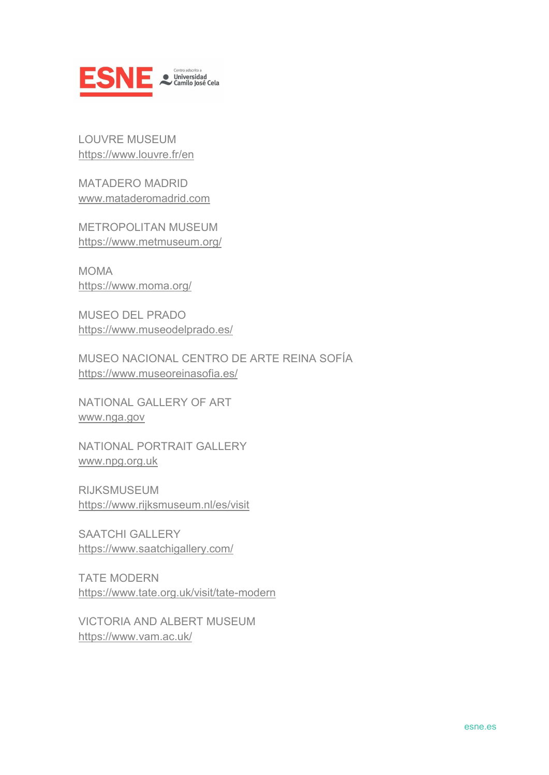

LOUVRE MUSEUM <https://www.louvre.fr/en>

MATADERO MADRID [www.mataderomadrid.com](http://www.mataderomadrid.com/)

METROPOLITAN MUSEUM https://www.metmuseum.org/

MOMA <https://www.moma.org/>

MUSEO DEL PRADO <https://www.museodelprado.es/>

MUSEO NACIONAL CENTRO DE ARTE REINA SOFÍA <https://www.museoreinasofia.es/>

NATIONAL GALLERY OF ART [www.nga.gov](http://www.nga.gov/)

NATIONAL PORTRAIT GALLERY [www.npg.org.uk](http://www.npg.org.uk/)

RIJKSMUSEUM https://www.rijksmuseum.nl/es/visit

SAATCHI GALLERY <https://www.saatchigallery.com/>

TATE MODERN <https://www.tate.org.uk/visit/tate-modern>

VICTORIA AND ALBERT MUSEUM https://www.vam.ac.uk/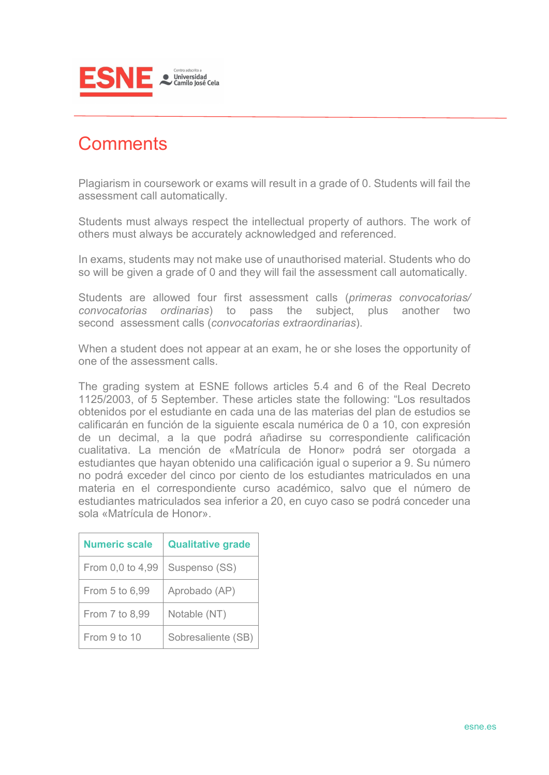

## **Comments**

Plagiarism in coursework or exams will result in a grade of 0. Students will fail the assessment call automatically.

Students must always respect the intellectual property of authors. The work of others must always be accurately acknowledged and referenced.

In exams, students may not make use of unauthorised material. Students who do so will be given a grade of 0 and they will fail the assessment call automatically.

Students are allowed four first assessment calls (*primeras convocatorias/ convocatorias ordinarias*) to pass the subject, plus another two second assessment calls (*convocatorias extraordinarias*).

When a student does not appear at an exam, he or she loses the opportunity of one of the assessment calls.

The grading system at ESNE follows articles 5.4 and 6 of the Real Decreto 1125/2003, of 5 September. These articles state the following: "Los resultados obtenidos por el estudiante en cada una de las materias del plan de estudios se calificarán en función de la siguiente escala numérica de 0 a 10, con expresión de un decimal, a la que podrá añadirse su correspondiente calificación cualitativa. La mención de «Matrícula de Honor» podrá ser otorgada a estudiantes que hayan obtenido una calificación igual o superior a 9. Su número no podrá exceder del cinco por ciento de los estudiantes matriculados en una materia en el correspondiente curso académico, salvo que el número de estudiantes matriculados sea inferior a 20, en cuyo caso se podrá conceder una sola «Matrícula de Honor».

| <b>Numeric scale</b> | <b>Qualitative grade</b> |
|----------------------|--------------------------|
| From 0,0 to 4,99     | Suspenso (SS)            |
| From 5 to 6,99       | Aprobado (AP)            |
| From 7 to 8,99       | Notable (NT)             |
| From 9 to 10         | Sobresaliente (SB)       |